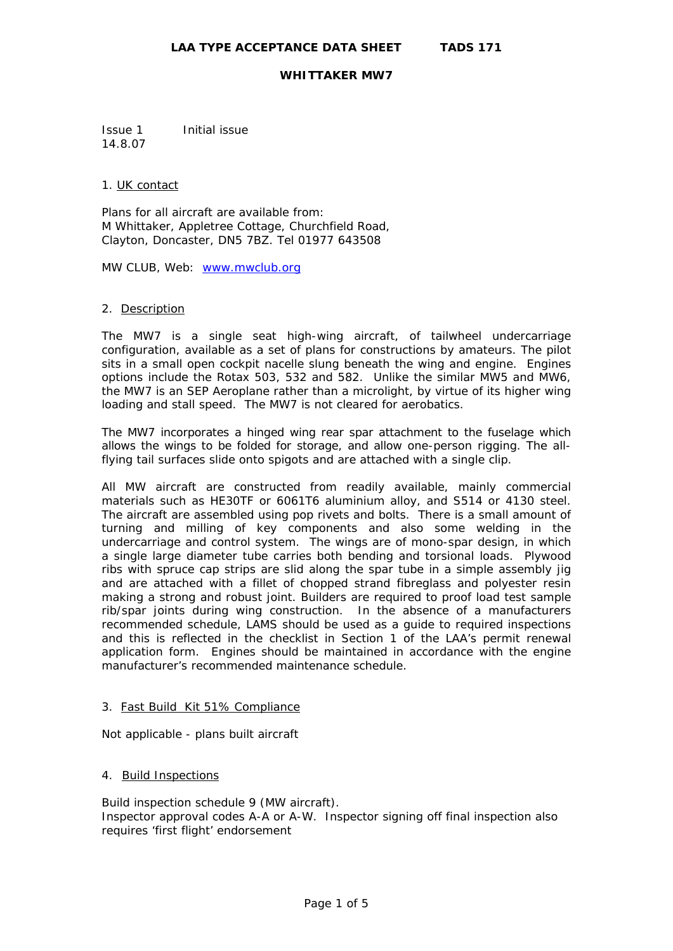Issue 1 Initial issue 14.8.07

#### 1. UK contact

Plans for all aircraft are available from: M Whittaker, Appletree Cottage, Churchfield Road, Clayton, Doncaster, DN5 7BZ. Tel 01977 643508

MW CLUB, Web: [www.mwclub.org](http://www.mwclub.org/)

#### 2. Description

The MW7 is a single seat high-wing aircraft, of tailwheel undercarriage configuration, available as a set of plans for constructions by amateurs. The pilot sits in a small open cockpit nacelle slung beneath the wing and engine. Engines options include the Rotax 503, 532 and 582. Unlike the similar MW5 and MW6, the MW7 is an SEP Aeroplane rather than a microlight, by virtue of its higher wing loading and stall speed. The MW7 is not cleared for aerobatics.

The MW7 incorporates a hinged wing rear spar attachment to the fuselage which allows the wings to be folded for storage, and allow one-person rigging. The allflying tail surfaces slide onto spigots and are attached with a single clip.

All MW aircraft are constructed from readily available, mainly commercial materials such as HE30TF or 6061T6 aluminium alloy, and S514 or 4130 steel. The aircraft are assembled using pop rivets and bolts. There is a small amount of turning and milling of key components and also some welding in the undercarriage and control system. The wings are of mono-spar design, in which a single large diameter tube carries both bending and torsional loads. Plywood ribs with spruce cap strips are slid along the spar tube in a simple assembly jig and are attached with a fillet of chopped strand fibreglass and polyester resin making a strong and robust joint. Builders are required to proof load test sample rib/spar joints during wing construction. In the absence of a manufacturers recommended schedule, LAMS should be used as a guide to required inspections and this is reflected in the checklist in Section 1 of the LAA's permit renewal application form. Engines should be maintained in accordance with the engine manufacturer's recommended maintenance schedule.

#### 3. Fast Build Kit 51% Compliance

Not applicable - plans built aircraft

# 4. Build Inspections

Build inspection schedule 9 (MW aircraft). Inspector approval codes A-A or A-W. Inspector signing off final inspection also requires 'first flight' endorsement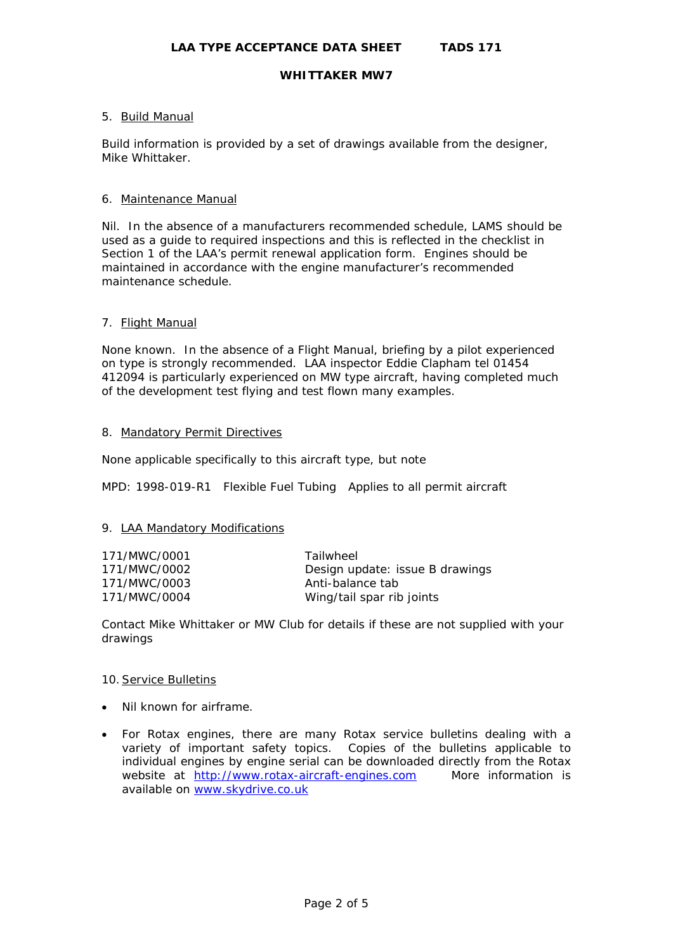### 5. Build Manual

Build information is provided by a set of drawings available from the designer, Mike Whittaker.

#### 6. Maintenance Manual

Nil. In the absence of a manufacturers recommended schedule, LAMS should be used as a guide to required inspections and this is reflected in the checklist in Section 1 of the LAA's permit renewal application form. Engines should be maintained in accordance with the engine manufacturer's recommended maintenance schedule.

#### 7. Flight Manual

None known. In the absence of a Flight Manual, briefing by a pilot experienced on type is strongly recommended. LAA inspector Eddie Clapham tel 01454 412094 is particularly experienced on MW type aircraft, having completed much of the development test flying and test flown many examples.

#### 8. Mandatory Permit Directives

None applicable specifically to this aircraft type, but note

MPD: 1998-019-R1 Flexible Fuel Tubing Applies to all permit aircraft

#### 9. LAA Mandatory Modifications

| 171/MWC/0001 | Tailwheel                       |
|--------------|---------------------------------|
| 171/MWC/0002 | Design update: issue B drawings |
| 171/MWC/0003 | Anti-balance tab                |
| 171/MWC/0004 | Wing/tail spar rib joints       |

Contact Mike Whittaker or MW Club for details if these are not supplied with your drawings

#### 10.Service Bulletins

- Nil known for airframe.
- For Rotax engines, there are many Rotax service bulletins dealing with a variety of important safety topics. Copies of the bulletins applicable to individual engines by engine serial can be downloaded directly from the Rotax website at [http://www.rotax-aircraft-engines.com](http://www.rotax-aircraft-engines.com/) More information is available on [www.skydrive.co.uk](http://www.skydrive.co.uk/)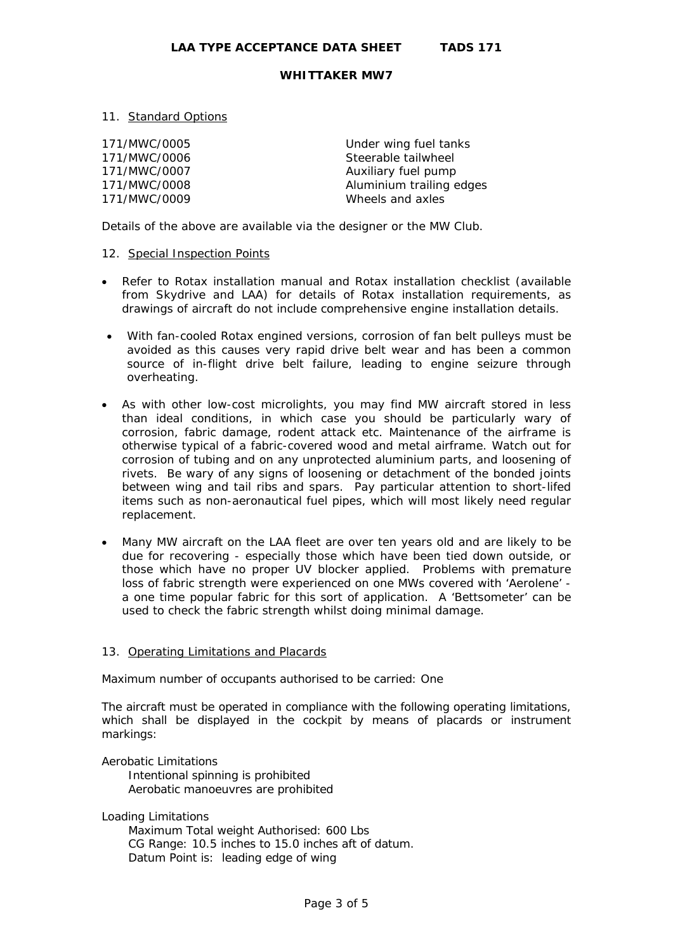## 11. Standard Options

171/MWC/0005 Under wing fuel tanks 171/MWC/0006 Steerable tailwheel 171/MWC/0007 Auxiliary fuel pump 171/MWC/0009 Wheels and axles

171/MWC/0008 Aluminium trailing edges

Details of the above are available via the designer or the MW Club.

## 12. Special Inspection Points

- Refer to Rotax installation manual and Rotax installation checklist (available from Skydrive and LAA) for details of Rotax installation requirements, as drawings of aircraft do not include comprehensive engine installation details.
- With fan-cooled Rotax engined versions, corrosion of fan belt pulleys must be avoided as this causes very rapid drive belt wear and has been a common source of in-flight drive belt failure, leading to engine seizure through overheating.
- As with other low-cost microlights, you may find MW aircraft stored in less than ideal conditions, in which case you should be particularly wary of corrosion, fabric damage, rodent attack etc. Maintenance of the airframe is otherwise typical of a fabric-covered wood and metal airframe. Watch out for corrosion of tubing and on any unprotected aluminium parts, and loosening of rivets. Be wary of any signs of loosening or detachment of the bonded joints between wing and tail ribs and spars. Pay particular attention to short-lifed items such as non-aeronautical fuel pipes, which will most likely need regular replacement.
- Many MW aircraft on the LAA fleet are over ten years old and are likely to be due for recovering - especially those which have been tied down outside, or those which have no proper UV blocker applied. Problems with premature loss of fabric strength were experienced on one MWs covered with 'Aerolene' a one time popular fabric for this sort of application. A 'Bettsometer' can be used to check the fabric strength whilst doing minimal damage.

#### 13. Operating Limitations and Placards

Maximum number of occupants authorised to be carried: One

The aircraft must be operated in compliance with the following operating limitations, which shall be displayed in the cockpit by means of placards or instrument markings:

#### Aerobatic Limitations

 Intentional spinning is prohibited Aerobatic manoeuvres are prohibited

Loading Limitations

 Maximum Total weight Authorised: 600 Lbs CG Range: 10.5 inches to 15.0 inches aft of datum. Datum Point is: leading edge of wing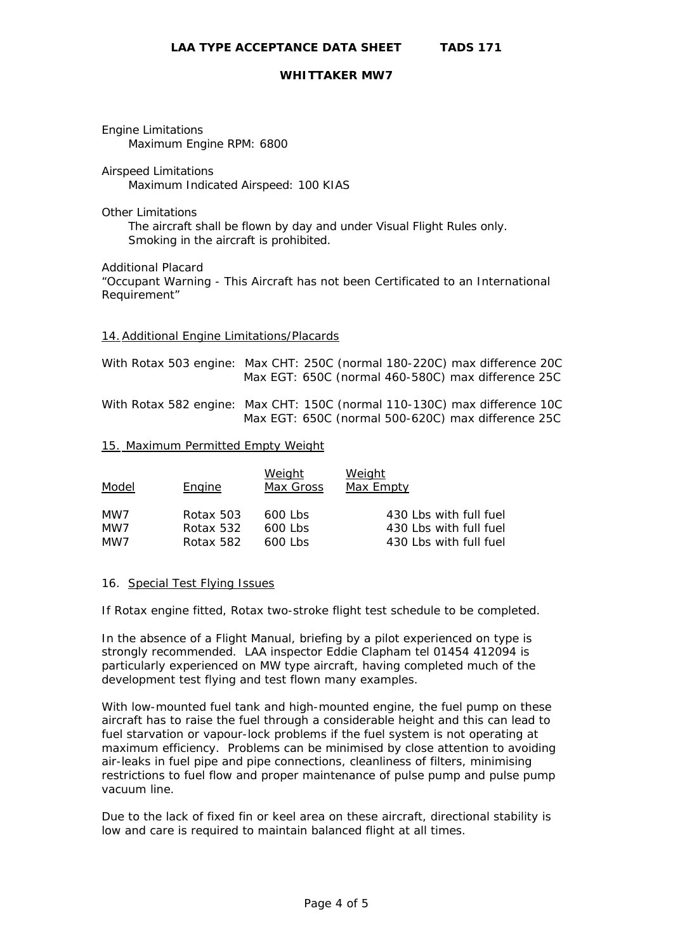Engine Limitations Maximum Engine RPM: 6800

Airspeed Limitations Maximum Indicated Airspeed: 100 KIAS

Other Limitations

 The aircraft shall be flown by day and under Visual Flight Rules only. Smoking in the aircraft is prohibited.

Additional Placard

"Occupant Warning - This Aircraft has not been Certificated to an International Requirement"

#### 14.Additional Engine Limitations/Placards

| With Rotax 503 engine: Max CHT: 250C (normal 180-220C) max difference 20C |  | Max EGT: 650C (normal 460-580C) max difference 25C |
|---------------------------------------------------------------------------|--|----------------------------------------------------|
| With Rotax 582 engine: Max CHT: 150C (normal 110-130C) max difference 10C |  | Max EGT: 650C (normal 500-620C) max difference 25C |

#### 15. Maximum Permitted Empty Weight

| Model | <b>Engine</b> | <u>Weight</u><br>Max Gross | <u>Weight</u><br>Max Empty |
|-------|---------------|----------------------------|----------------------------|
| MW7   | Rotax 503     | 600 Lbs                    | 430 Lbs with full fuel     |
| MW7   | Rotax 532     | 600 Lbs                    | 430 Lbs with full fuel     |
| MW7   | Rotax 582     | $600$ l bs                 | 430 Lbs with full fuel     |

#### 16. Special Test Flying Issues

If Rotax engine fitted, Rotax two-stroke flight test schedule to be completed.

In the absence of a Flight Manual, briefing by a pilot experienced on type is strongly recommended. LAA inspector Eddie Clapham tel 01454 412094 is particularly experienced on MW type aircraft, having completed much of the development test flying and test flown many examples.

With low-mounted fuel tank and high-mounted engine, the fuel pump on these aircraft has to raise the fuel through a considerable height and this can lead to fuel starvation or vapour-lock problems if the fuel system is not operating at maximum efficiency. Problems can be minimised by close attention to avoiding air-leaks in fuel pipe and pipe connections, cleanliness of filters, minimising restrictions to fuel flow and proper maintenance of pulse pump and pulse pump vacuum line.

Due to the lack of fixed fin or keel area on these aircraft, directional stability is low and care is required to maintain balanced flight at all times.